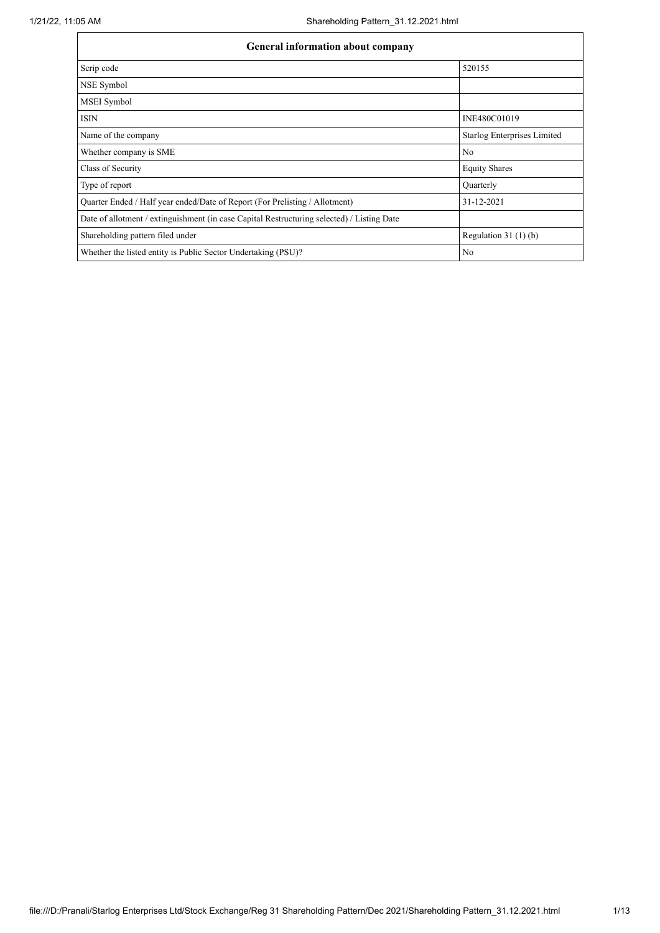| General information about company                                                          |                                    |  |  |  |  |  |
|--------------------------------------------------------------------------------------------|------------------------------------|--|--|--|--|--|
| Scrip code                                                                                 | 520155                             |  |  |  |  |  |
| NSE Symbol                                                                                 |                                    |  |  |  |  |  |
| <b>MSEI</b> Symbol                                                                         |                                    |  |  |  |  |  |
| <b>ISIN</b>                                                                                | INE480C01019                       |  |  |  |  |  |
| Name of the company                                                                        | <b>Starlog Enterprises Limited</b> |  |  |  |  |  |
| Whether company is SME                                                                     | No                                 |  |  |  |  |  |
| Class of Security                                                                          | <b>Equity Shares</b>               |  |  |  |  |  |
| Type of report                                                                             | Quarterly                          |  |  |  |  |  |
| Quarter Ended / Half year ended/Date of Report (For Prelisting / Allotment)                | 31-12-2021                         |  |  |  |  |  |
| Date of allotment / extinguishment (in case Capital Restructuring selected) / Listing Date |                                    |  |  |  |  |  |
| Shareholding pattern filed under                                                           | Regulation $31(1)(b)$              |  |  |  |  |  |
| Whether the listed entity is Public Sector Undertaking (PSU)?                              | No                                 |  |  |  |  |  |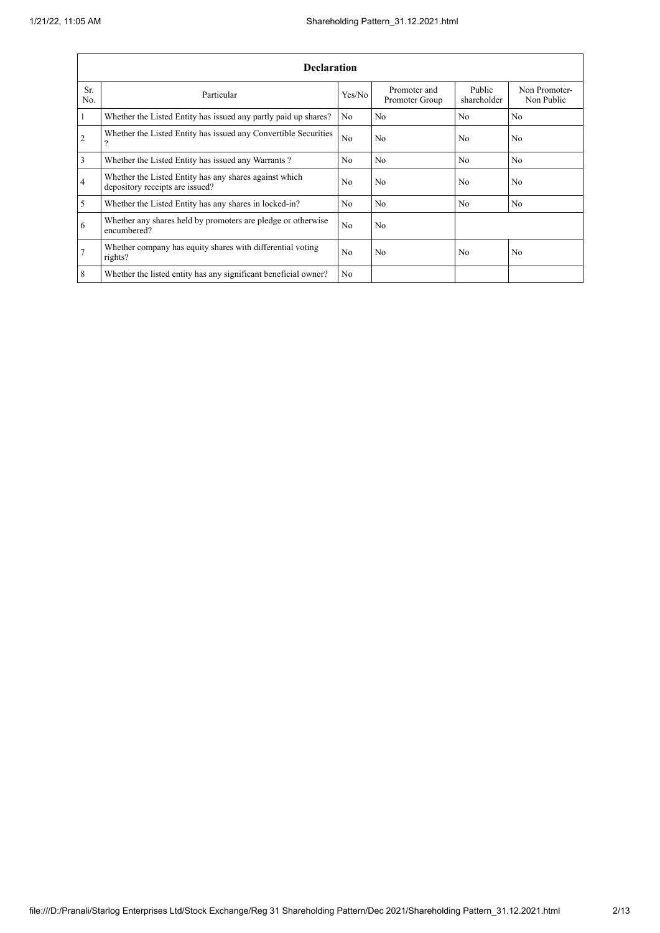|                | <b>Declaration</b>                                                                        |                |                                |                       |                             |  |  |  |
|----------------|-------------------------------------------------------------------------------------------|----------------|--------------------------------|-----------------------|-----------------------------|--|--|--|
| Sr.<br>No.     | Particular                                                                                | Yes/No         | Promoter and<br>Promoter Group | Public<br>shareholder | Non Promoter-<br>Non Public |  |  |  |
| $\mathbf{1}$   | Whether the Listed Entity has issued any partly paid up shares?                           | No             | N <sub>o</sub>                 | No                    | No                          |  |  |  |
| $\overline{2}$ | Whether the Listed Entity has issued any Convertible Securities<br>$\Omega$               | No             | No                             | N <sub>0</sub>        | N <sub>0</sub>              |  |  |  |
| $\overline{3}$ | Whether the Listed Entity has issued any Warrants?                                        | N <sub>0</sub> | No                             | N <sub>o</sub>        | No.                         |  |  |  |
| $\overline{4}$ | Whether the Listed Entity has any shares against which<br>depository receipts are issued? | N <sub>0</sub> | No                             | N <sub>0</sub>        | N <sub>0</sub>              |  |  |  |
| 5              | Whether the Listed Entity has any shares in locked-in?                                    | N <sub>o</sub> | No                             | N <sub>o</sub>        | No                          |  |  |  |
| 6              | Whether any shares held by promoters are pledge or otherwise<br>encumbered?               | No             | No                             |                       |                             |  |  |  |
| $\overline{7}$ | Whether company has equity shares with differential voting<br>rights?                     | N <sub>0</sub> | N <sub>0</sub>                 | N <sub>0</sub>        | N <sub>0</sub>              |  |  |  |
| 8              | Whether the listed entity has any significant beneficial owner?                           | N <sub>o</sub> |                                |                       |                             |  |  |  |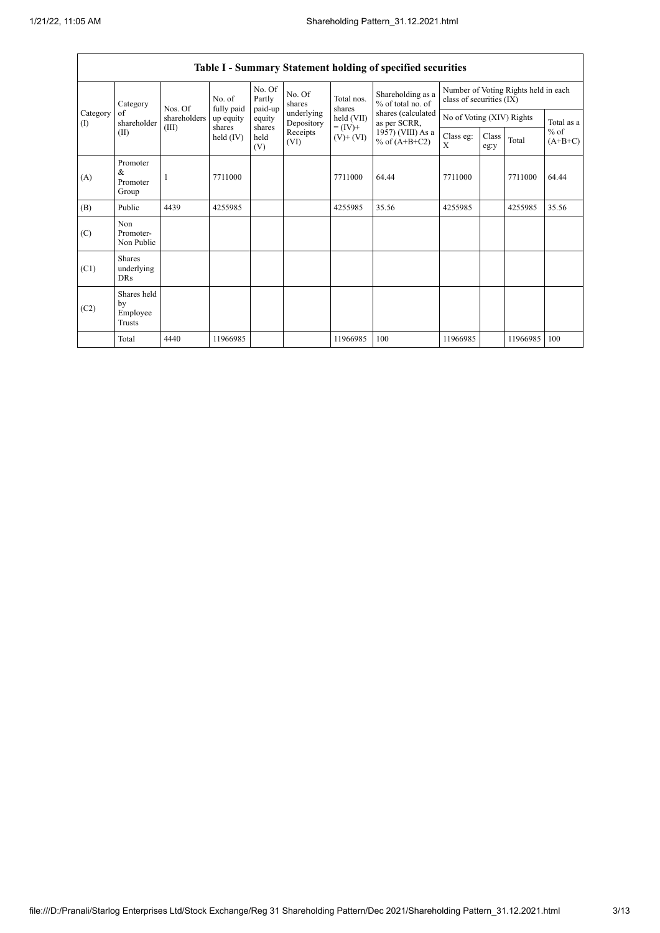$\mathsf{r}$ 

|                 |                                         |              |                      |                             |                          |                              | Table I - Summary Statement holding of specified securities |                                                                  |               |          |                                   |
|-----------------|-----------------------------------------|--------------|----------------------|-----------------------------|--------------------------|------------------------------|-------------------------------------------------------------|------------------------------------------------------------------|---------------|----------|-----------------------------------|
|                 | Category                                | Nos. Of      | No. of<br>fully paid | No. Of<br>Partly<br>paid-up | No. Of<br>shares         | Total nos.<br>shares         | Shareholding as a<br>% of total no. of                      | Number of Voting Rights held in each<br>class of securities (IX) |               |          |                                   |
| Category<br>(1) | of<br>shareholder                       | shareholders | up equity            | equity                      | underlying<br>Depository | held (VII)                   | shares (calculated<br>as per SCRR,                          | No of Voting (XIV) Rights                                        |               |          | Total as a<br>$%$ of<br>$(A+B+C)$ |
| (II)            |                                         | (III)        | shares<br>held (IV)  | shares<br>held<br>(V)       | Receipts<br>(VI)         | $= (IV) +$<br>$(V)$ + $(VI)$ | 1957) (VIII) As a<br>% of $(A+B+C2)$                        | Class eg:<br>X                                                   | Class<br>eg:y | Total    |                                   |
| (A)             | Promoter<br>&<br>Promoter<br>Group      |              | 7711000              |                             |                          | 7711000                      | 64.44                                                       | 7711000                                                          |               | 7711000  | 64.44                             |
| (B)             | Public                                  | 4439         | 4255985              |                             |                          | 4255985                      | 35.56                                                       | 4255985                                                          |               | 4255985  | 35.56                             |
| (C)             | Non<br>Promoter-<br>Non Public          |              |                      |                             |                          |                              |                                                             |                                                                  |               |          |                                   |
| (C1)            | Shares<br>underlying<br><b>DRs</b>      |              |                      |                             |                          |                              |                                                             |                                                                  |               |          |                                   |
| (C2)            | Shares held<br>by<br>Employee<br>Trusts |              |                      |                             |                          |                              |                                                             |                                                                  |               |          |                                   |
|                 | Total                                   | 4440         | 11966985             |                             |                          | 11966985                     | 100                                                         | 11966985                                                         |               | 11966985 | 100                               |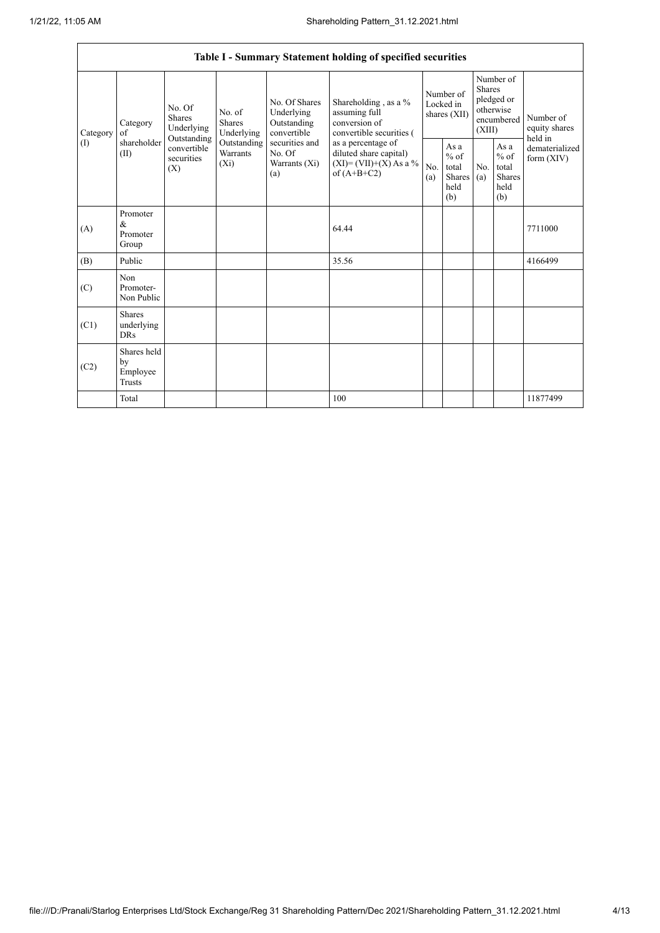|                                                                   | Table I - Summary Statement holding of specified securities |                                       |                                                     |                                                                                            |                                                                                    |                                                  |            |                                                                               |                                |                                       |
|-------------------------------------------------------------------|-------------------------------------------------------------|---------------------------------------|-----------------------------------------------------|--------------------------------------------------------------------------------------------|------------------------------------------------------------------------------------|--------------------------------------------------|------------|-------------------------------------------------------------------------------|--------------------------------|---------------------------------------|
| Category<br>Category<br>of<br>shareholder<br>$($ $\Gamma$<br>(II) |                                                             | No. Of<br><b>Shares</b><br>Underlying | No. of<br><b>Shares</b><br>Underlying               | No. Of Shares<br>Underlying<br>Outstanding<br>convertible                                  | Shareholding, as a %<br>assuming full<br>conversion of<br>convertible securities ( | Number of<br>Locked in<br>shares (XII)           |            | Number of<br><b>Shares</b><br>pledged or<br>otherwise<br>encumbered<br>(XIII) |                                | Number of<br>equity shares<br>held in |
|                                                                   | Outstanding<br>convertible<br>securities<br>(X)             | Outstanding<br>Warrants<br>$(X_i)$    | securities and<br>No. Of<br>Warrants $(X_i)$<br>(a) | as a percentage of<br>diluted share capital)<br>$(XI) = (VII)+(X) As a %$<br>of $(A+B+C2)$ | No.<br>(a)                                                                         | As a<br>$%$ of<br>total<br>Shares<br>held<br>(b) | No.<br>(a) | As a<br>$%$ of<br>total<br><b>Shares</b><br>held<br>(b)                       | dematerialized<br>form $(XIV)$ |                                       |
| (A)                                                               | Promoter<br>$\&$<br>Promoter<br>Group                       |                                       |                                                     |                                                                                            | 64.44                                                                              |                                                  |            |                                                                               |                                | 7711000                               |
| (B)                                                               | Public                                                      |                                       |                                                     |                                                                                            | 35.56                                                                              |                                                  |            |                                                                               |                                | 4166499                               |
| (C)                                                               | Non<br>Promoter-<br>Non Public                              |                                       |                                                     |                                                                                            |                                                                                    |                                                  |            |                                                                               |                                |                                       |
| (C1)                                                              | <b>Shares</b><br>underlying<br><b>DRs</b>                   |                                       |                                                     |                                                                                            |                                                                                    |                                                  |            |                                                                               |                                |                                       |
| (C2)                                                              | Shares held<br>by<br>Employee<br><b>Trusts</b>              |                                       |                                                     |                                                                                            |                                                                                    |                                                  |            |                                                                               |                                |                                       |
|                                                                   | Total                                                       |                                       |                                                     |                                                                                            | 100                                                                                |                                                  |            |                                                                               |                                | 11877499                              |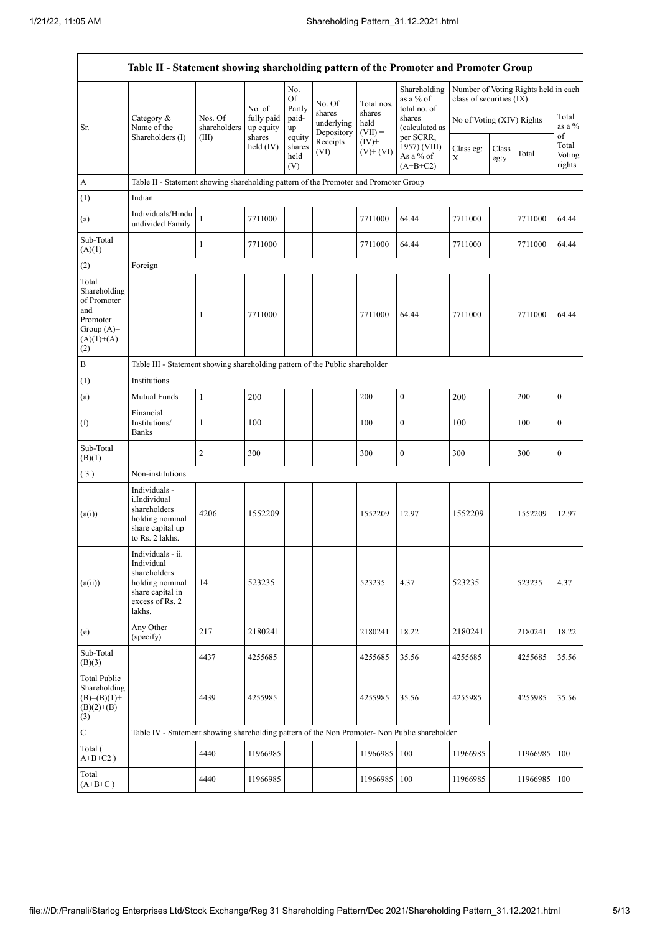$\mathbf{r}$ 

|                                                                                                | Table II - Statement showing shareholding pattern of the Promoter and Promoter Group                                |                         |                                   |                                 |                                    |                             |                                                      |                           |               |                                      |                                 |
|------------------------------------------------------------------------------------------------|---------------------------------------------------------------------------------------------------------------------|-------------------------|-----------------------------------|---------------------------------|------------------------------------|-----------------------------|------------------------------------------------------|---------------------------|---------------|--------------------------------------|---------------------------------|
|                                                                                                |                                                                                                                     |                         |                                   | No.<br>Of                       | No. Of                             | Total nos.                  | Shareholding<br>as a % of                            | class of securities (IX)  |               | Number of Voting Rights held in each |                                 |
| Sr.                                                                                            | Category $\&$<br>Name of the                                                                                        | Nos. Of<br>shareholders | No. of<br>fully paid<br>up equity | Partly<br>paid-<br>up           | shares<br>underlying<br>Depository | shares<br>held<br>$(VII) =$ | total no. of<br>shares<br>(calculated as             | No of Voting (XIV) Rights |               |                                      | Total<br>as a %                 |
|                                                                                                | Shareholders (I)                                                                                                    | (III)                   | shares<br>held (IV)               | equity<br>shares<br>held<br>(V) | Receipts<br>(VI)                   | $(IV)^+$<br>$(V)$ + $(VI)$  | per SCRR,<br>1957) (VIII)<br>As a % of<br>$(A+B+C2)$ | Class eg:<br>$\mathbf X$  | Class<br>eg:y | Total                                | of<br>Total<br>Voting<br>rights |
| A                                                                                              | Table II - Statement showing shareholding pattern of the Promoter and Promoter Group                                |                         |                                   |                                 |                                    |                             |                                                      |                           |               |                                      |                                 |
| (1)                                                                                            | Indian                                                                                                              |                         |                                   |                                 |                                    |                             |                                                      |                           |               |                                      |                                 |
| (a)                                                                                            | Individuals/Hindu<br>undivided Family                                                                               | $\mathbf{1}$            | 7711000                           |                                 |                                    | 7711000                     | 64.44                                                | 7711000                   |               | 7711000                              | 64.44                           |
| Sub-Total<br>(A)(1)                                                                            |                                                                                                                     | 1                       | 7711000                           |                                 |                                    | 7711000                     | 64.44                                                | 7711000                   |               | 7711000                              | 64.44                           |
| (2)                                                                                            | Foreign                                                                                                             |                         |                                   |                                 |                                    |                             |                                                      |                           |               |                                      |                                 |
| Total<br>Shareholding<br>of Promoter<br>and<br>Promoter<br>Group $(A)=$<br>$(A)(1)+(A)$<br>(2) |                                                                                                                     | 1                       | 7711000                           |                                 |                                    | 7711000                     | 64.44                                                | 7711000                   |               | 7711000                              | 64.44                           |
| $\, {\bf B}$                                                                                   | Table III - Statement showing shareholding pattern of the Public shareholder                                        |                         |                                   |                                 |                                    |                             |                                                      |                           |               |                                      |                                 |
| (1)                                                                                            | Institutions                                                                                                        |                         |                                   |                                 |                                    |                             |                                                      |                           |               |                                      |                                 |
| (a)                                                                                            | Mutual Funds                                                                                                        | $\mathbf{1}$            | 200                               |                                 |                                    | 200                         | $\mathbf{0}$                                         | 200                       |               | 200                                  | $\boldsymbol{0}$                |
| (f)                                                                                            | Financial<br>Institutions/<br><b>Banks</b>                                                                          | 1                       | 100                               |                                 |                                    | 100                         | $\boldsymbol{0}$                                     | 100                       |               | 100                                  | $\bf{0}$                        |
| Sub-Total<br>(B)(1)                                                                            |                                                                                                                     | 2                       | 300                               |                                 |                                    | 300                         | $\mathbf{0}$                                         | 300                       |               | 300                                  | $\mathbf{0}$                    |
| (3)                                                                                            | Non-institutions                                                                                                    |                         |                                   |                                 |                                    |                             |                                                      |                           |               |                                      |                                 |
| (a(i))                                                                                         | Individuals -<br>i.Individual<br>shareholders<br>holding nominal<br>share capital up<br>to Rs. 2 lakhs.             | 4206                    | 1552209                           |                                 |                                    | 1552209                     | 12.97                                                | 1552209                   |               | 1552209                              | 12.97                           |
| (a(ii))                                                                                        | Individuals - ii.<br>Individual<br>shareholders<br>holding nominal<br>share capital in<br>excess of Rs. 2<br>lakhs. | 14                      | 523235                            |                                 |                                    | 523235                      | 4.37                                                 | 523235                    |               | 523235                               | 4.37                            |
| (e)                                                                                            | Any Other<br>(specify)                                                                                              | 217                     | 2180241                           |                                 |                                    | 2180241                     | 18.22                                                | 2180241                   |               | 2180241                              | 18.22                           |
| Sub-Total<br>(B)(3)                                                                            |                                                                                                                     | 4437                    | 4255685                           |                                 |                                    | 4255685                     | 35.56                                                | 4255685                   |               | 4255685                              | 35.56                           |
| <b>Total Public</b><br>Shareholding<br>$(B)=(B)(1)+$<br>$(B)(2)+(B)$<br>(3)                    |                                                                                                                     | 4439                    | 4255985                           |                                 |                                    | 4255985                     | 35.56                                                | 4255985                   |               | 4255985                              | 35.56                           |
| $\mathbf C$                                                                                    | Table IV - Statement showing shareholding pattern of the Non Promoter- Non Public shareholder                       |                         |                                   |                                 |                                    |                             |                                                      |                           |               |                                      |                                 |
| Total (<br>$\mathrm{A} \text{+} \mathrm{B} \text{+} \mathrm{C2}$ )                             |                                                                                                                     | 4440                    | 11966985                          |                                 |                                    | 11966985                    | 100                                                  | 11966985                  |               | 11966985                             | 100                             |
| Total<br>$(A+B+C)$                                                                             |                                                                                                                     | 4440                    | 11966985                          |                                 |                                    | 11966985                    | 100                                                  | 11966985                  |               | 11966985                             | 100                             |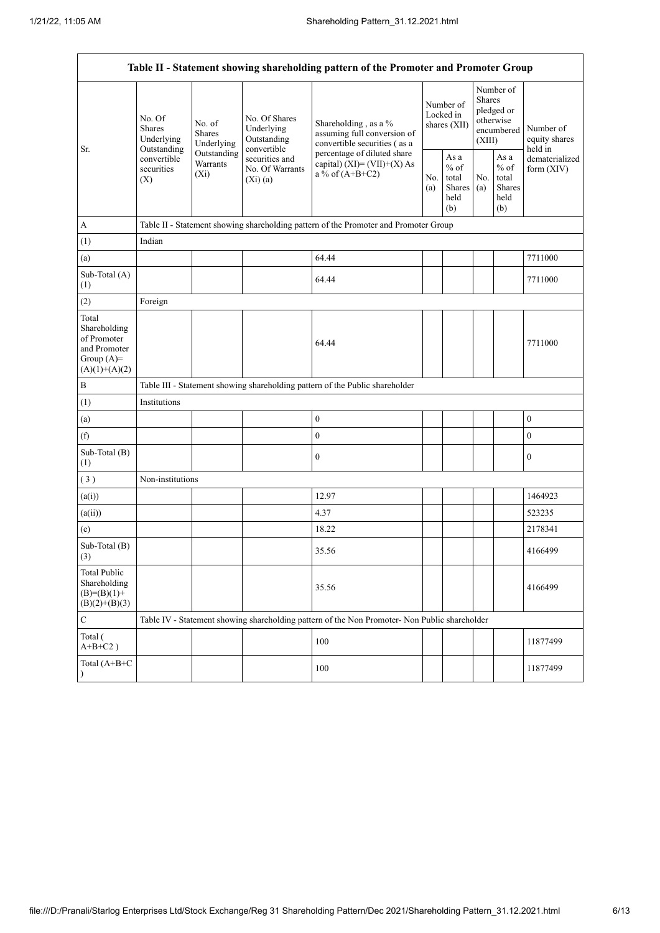| Table II - Statement showing shareholding pattern of the Promoter and Promoter Group    |                                                 |                                       |                                                                                                           |                                                                                               |            |                                                  |            |                                                                        |                                       |
|-----------------------------------------------------------------------------------------|-------------------------------------------------|---------------------------------------|-----------------------------------------------------------------------------------------------------------|-----------------------------------------------------------------------------------------------|------------|--------------------------------------------------|------------|------------------------------------------------------------------------|---------------------------------------|
| Sr.                                                                                     | No. Of<br><b>Shares</b><br>Underlying           | No. of<br><b>Shares</b><br>Underlying | No. Of Shares<br>Underlying<br>Outstanding<br>convertible<br>securities and<br>No. Of Warrants<br>(Xi)(a) | Shareholding, as a %<br>assuming full conversion of<br>convertible securities (as a           |            | Number of<br>Locked in<br>shares (XII)           |            | Number of<br>Shares<br>pledged or<br>otherwise<br>encumbered<br>(XIII) | Number of<br>equity shares<br>held in |
|                                                                                         | Outstanding<br>convertible<br>securities<br>(X) | Outstanding<br>Warrants<br>$(X_i)$    |                                                                                                           | percentage of diluted share<br>capital) $(XI) = (VII)+(X) As$<br>a % of $(A+B+C2)$            | No.<br>(a) | As a<br>$%$ of<br>total<br>Shares<br>held<br>(b) | No.<br>(a) | As a<br>$%$ of<br>total<br>Shares<br>held<br>(b)                       | dematerialized<br>form $(XIV)$        |
| $\mathbf A$                                                                             |                                                 |                                       |                                                                                                           | Table II - Statement showing shareholding pattern of the Promoter and Promoter Group          |            |                                                  |            |                                                                        |                                       |
| (1)                                                                                     | Indian                                          |                                       |                                                                                                           |                                                                                               |            |                                                  |            |                                                                        |                                       |
| (a)                                                                                     |                                                 |                                       |                                                                                                           | 64.44                                                                                         |            |                                                  |            |                                                                        | 7711000                               |
| Sub-Total (A)<br>(1)                                                                    |                                                 |                                       |                                                                                                           | 64.44                                                                                         |            |                                                  |            |                                                                        | 7711000                               |
| (2)                                                                                     | Foreign                                         |                                       |                                                                                                           |                                                                                               |            |                                                  |            |                                                                        |                                       |
| Total<br>Shareholding<br>of Promoter<br>and Promoter<br>Group $(A)=$<br>$(A)(1)+(A)(2)$ |                                                 |                                       |                                                                                                           | 64.44                                                                                         |            |                                                  |            |                                                                        | 7711000                               |
| $\, {\bf B}$                                                                            |                                                 |                                       |                                                                                                           | Table III - Statement showing shareholding pattern of the Public shareholder                  |            |                                                  |            |                                                                        |                                       |
| (1)                                                                                     | Institutions                                    |                                       |                                                                                                           |                                                                                               |            |                                                  |            |                                                                        |                                       |
| (a)                                                                                     |                                                 |                                       |                                                                                                           | $\boldsymbol{0}$                                                                              |            |                                                  |            |                                                                        | $\boldsymbol{0}$                      |
| (f)                                                                                     |                                                 |                                       |                                                                                                           | $\mathbf{0}$                                                                                  |            |                                                  |            |                                                                        | $\mathbf{0}$                          |
| Sub-Total (B)<br>(1)                                                                    |                                                 |                                       |                                                                                                           | $\boldsymbol{0}$                                                                              |            |                                                  |            |                                                                        | $\boldsymbol{0}$                      |
| (3)                                                                                     | Non-institutions                                |                                       |                                                                                                           |                                                                                               |            |                                                  |            |                                                                        |                                       |
| (a(i))                                                                                  |                                                 |                                       |                                                                                                           | 12.97                                                                                         |            |                                                  |            |                                                                        | 1464923                               |
| (a(ii))                                                                                 |                                                 |                                       |                                                                                                           | 4.37                                                                                          |            |                                                  |            |                                                                        | 523235                                |
| (e)                                                                                     |                                                 |                                       |                                                                                                           | 18.22                                                                                         |            |                                                  |            |                                                                        | 2178341                               |
| Sub-Total (B)<br>$\left(3\right)$                                                       |                                                 |                                       |                                                                                                           | 35.56                                                                                         |            |                                                  |            |                                                                        | 4166499                               |
| <b>Total Public</b><br>Shareholding<br>$(B)= (B)(1) +$<br>$(B)(2)+(B)(3)$               |                                                 |                                       |                                                                                                           | 35.56                                                                                         |            |                                                  |            |                                                                        | 4166499                               |
| $\mathbf C$                                                                             |                                                 |                                       |                                                                                                           | Table IV - Statement showing shareholding pattern of the Non Promoter- Non Public shareholder |            |                                                  |            |                                                                        |                                       |
| Total (<br>$A+B+C2$ )                                                                   |                                                 |                                       |                                                                                                           | 100                                                                                           |            |                                                  |            |                                                                        | 11877499                              |
| Total (A+B+C<br>$\lambda$                                                               |                                                 |                                       |                                                                                                           | 100                                                                                           |            |                                                  |            |                                                                        | 11877499                              |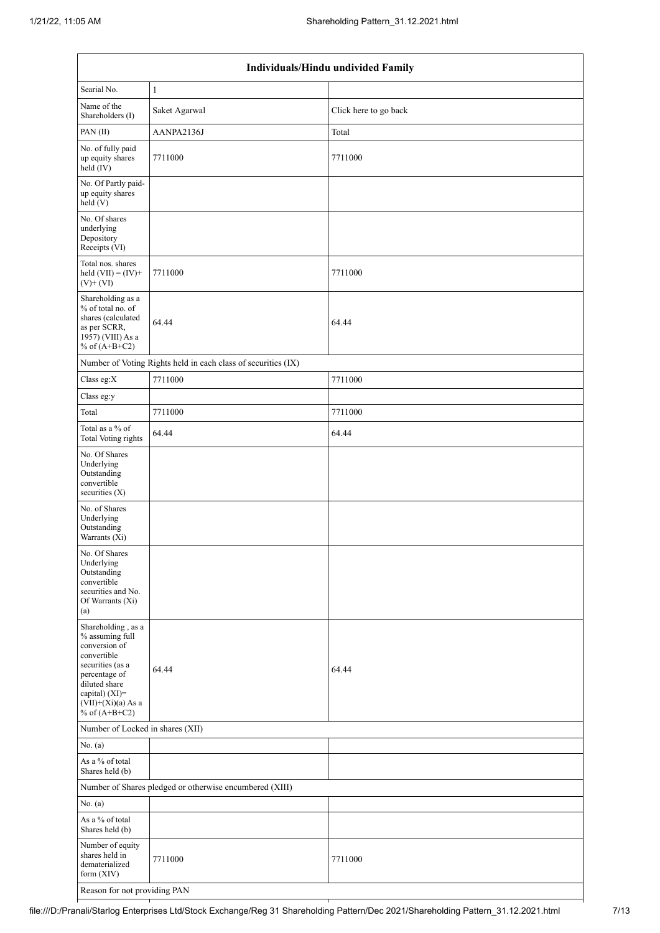| Individuals/Hindu undivided Family                                                                                                                                                       |                                                               |                       |  |  |  |  |
|------------------------------------------------------------------------------------------------------------------------------------------------------------------------------------------|---------------------------------------------------------------|-----------------------|--|--|--|--|
| Searial No.                                                                                                                                                                              | $\mathbf{1}$                                                  |                       |  |  |  |  |
| Name of the<br>Shareholders (I)                                                                                                                                                          | Saket Agarwal                                                 | Click here to go back |  |  |  |  |
| PAN(II)                                                                                                                                                                                  | AANPA2136J                                                    | Total                 |  |  |  |  |
| No. of fully paid<br>up equity shares<br>held (IV)                                                                                                                                       | 7711000                                                       | 7711000               |  |  |  |  |
| No. Of Partly paid-<br>up equity shares<br>held (V)                                                                                                                                      |                                                               |                       |  |  |  |  |
| No. Of shares<br>underlying<br>Depository<br>Receipts (VI)                                                                                                                               |                                                               |                       |  |  |  |  |
| Total nos. shares<br>held $(VII) = (IV) +$<br>$(V)$ + $(VI)$                                                                                                                             | 7711000                                                       | 7711000               |  |  |  |  |
| Shareholding as a<br>% of total no. of<br>shares (calculated<br>as per SCRR,<br>1957) (VIII) As a<br>% of $(A+B+C2)$                                                                     | 64.44                                                         | 64.44                 |  |  |  |  |
|                                                                                                                                                                                          | Number of Voting Rights held in each class of securities (IX) |                       |  |  |  |  |
| Class eg:X                                                                                                                                                                               | 7711000                                                       | 7711000               |  |  |  |  |
| Class eg:y                                                                                                                                                                               |                                                               |                       |  |  |  |  |
| Total                                                                                                                                                                                    | 7711000                                                       | 7711000               |  |  |  |  |
| Total as a % of<br><b>Total Voting rights</b>                                                                                                                                            | 64.44                                                         | 64.44                 |  |  |  |  |
| No. Of Shares<br>Underlying<br>Outstanding<br>convertible<br>securities $(X)$                                                                                                            |                                                               |                       |  |  |  |  |
| No. of Shares<br>Underlying<br>Outstanding<br>Warrants (Xi)                                                                                                                              |                                                               |                       |  |  |  |  |
| No. Of Shares<br>Underlying<br>Outstanding<br>convertible<br>securities and No.<br>Of Warrants (Xi)<br>(a)                                                                               |                                                               |                       |  |  |  |  |
| Shareholding, as a<br>% assuming full<br>conversion of<br>convertible<br>securities (as a<br>percentage of<br>diluted share<br>capital) (XI)=<br>$(VII)+(Xi)(a)$ As a<br>% of $(A+B+C2)$ | 64.44                                                         | 64.44                 |  |  |  |  |
| Number of Locked in shares (XII)                                                                                                                                                         |                                                               |                       |  |  |  |  |
| No. (a)                                                                                                                                                                                  |                                                               |                       |  |  |  |  |
| As a % of total<br>Shares held (b)                                                                                                                                                       |                                                               |                       |  |  |  |  |
| Number of Shares pledged or otherwise encumbered (XIII)                                                                                                                                  |                                                               |                       |  |  |  |  |
| No. (a)                                                                                                                                                                                  |                                                               |                       |  |  |  |  |
| As a $\%$ of total<br>Shares held (b)                                                                                                                                                    |                                                               |                       |  |  |  |  |
| Number of equity<br>shares held in<br>dematerialized<br>form $(XIV)$                                                                                                                     | 7711000                                                       | 7711000               |  |  |  |  |
| Reason for not providing PAN                                                                                                                                                             |                                                               |                       |  |  |  |  |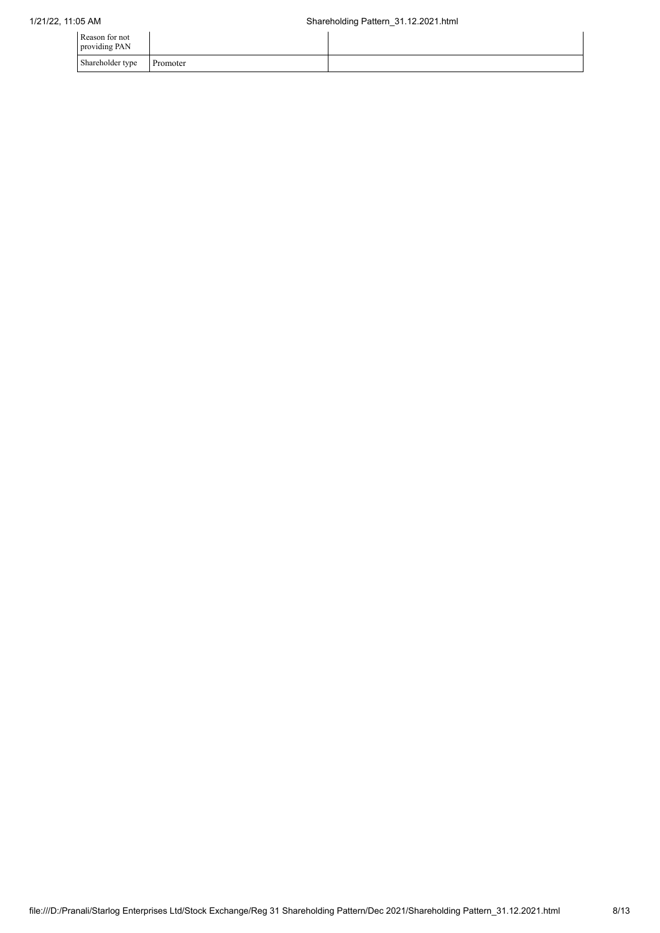| Reason for not<br>providing PAN |          |  |
|---------------------------------|----------|--|
| Shareholder type                | Promoter |  |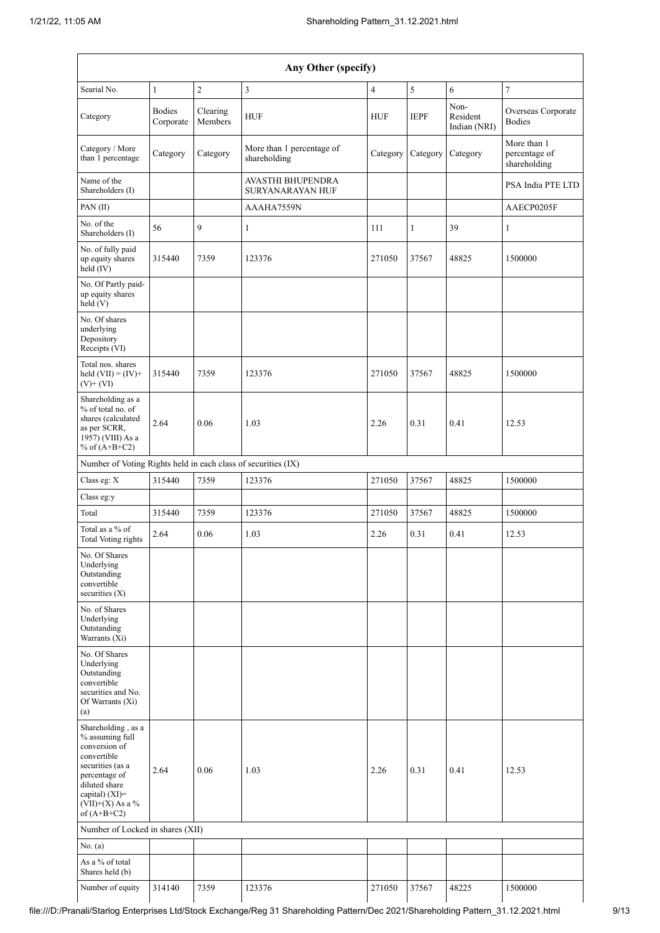|                                                                                                                                                                                      | Any Other (specify)        |                     |                                              |                |             |                                  |                                              |
|--------------------------------------------------------------------------------------------------------------------------------------------------------------------------------------|----------------------------|---------------------|----------------------------------------------|----------------|-------------|----------------------------------|----------------------------------------------|
| Searial No.                                                                                                                                                                          | $\mathbf{1}$               | $\mathbf{2}$        | 3                                            | $\overline{4}$ | 5           | 6                                | $\overline{7}$                               |
| Category                                                                                                                                                                             | <b>Bodies</b><br>Corporate | Clearing<br>Members | <b>HUF</b>                                   | <b>HUF</b>     | <b>IEPF</b> | Non-<br>Resident<br>Indian (NRI) | Overseas Corporate<br><b>Bodies</b>          |
| Category / More<br>than 1 percentage                                                                                                                                                 | Category                   | Category            | More than 1 percentage of<br>shareholding    | Category       | Category    | Category                         | More than 1<br>percentage of<br>shareholding |
| Name of the<br>Shareholders (I)                                                                                                                                                      |                            |                     | AVASTHI BHUPENDRA<br><b>SURYANARAYAN HUF</b> |                |             |                                  | PSA India PTE LTD                            |
| PAN(II)                                                                                                                                                                              |                            |                     | AAAHA7559N                                   |                |             |                                  | AAECP0205F                                   |
| No. of the<br>Shareholders (I)                                                                                                                                                       | 56                         | 9                   | $\mathbf{1}$                                 | 111            | 1           | 39                               | 1                                            |
| No. of fully paid<br>up equity shares<br>held (IV)                                                                                                                                   | 315440                     | 7359                | 123376                                       | 271050         | 37567       | 48825                            | 1500000                                      |
| No. Of Partly paid-<br>up equity shares<br>held(V)                                                                                                                                   |                            |                     |                                              |                |             |                                  |                                              |
| No. Of shares<br>underlying<br>Depository<br>Receipts (VI)                                                                                                                           |                            |                     |                                              |                |             |                                  |                                              |
| Total nos. shares<br>held $(VII) = (IV) +$<br>$(V)+(VI)$                                                                                                                             | 315440                     | 7359                | 123376                                       | 271050         | 37567       | 48825                            | 1500000                                      |
| Shareholding as a<br>% of total no. of<br>shares (calculated<br>as per SCRR,<br>1957) (VIII) As a<br>% of $(A+B+C2)$                                                                 | 2.64                       | 0.06                | 1.03                                         | 2.26           | 0.31        | 0.41                             | 12.53                                        |
| Number of Voting Rights held in each class of securities (IX)                                                                                                                        |                            |                     |                                              |                |             |                                  |                                              |
| Class eg: X                                                                                                                                                                          | 315440                     | 7359                | 123376                                       | 271050         | 37567       | 48825                            | 1500000                                      |
| Class eg:y                                                                                                                                                                           |                            |                     |                                              |                |             |                                  |                                              |
| Total                                                                                                                                                                                | 315440                     | 7359                | 123376                                       | 271050         | 37567       | 48825                            | 1500000                                      |
| Total as a % of<br><b>Total Voting rights</b>                                                                                                                                        | 2.64                       | 0.06                | 1.03                                         | 2.26           | 0.31        | 0.41                             | 12.53                                        |
| No. Of Shares<br>Underlying<br>Outstanding<br>convertible<br>securities $(X)$                                                                                                        |                            |                     |                                              |                |             |                                  |                                              |
| No. of Shares<br>Underlying<br>Outstanding<br>Warrants $(X_i)$                                                                                                                       |                            |                     |                                              |                |             |                                  |                                              |
| No. Of Shares<br>Underlying<br>Outstanding<br>convertible<br>securities and No.<br>Of Warrants (Xi)<br>(a)                                                                           |                            |                     |                                              |                |             |                                  |                                              |
| Shareholding, as a<br>% assuming full<br>conversion of<br>convertible<br>securities (as a<br>percentage of<br>diluted share<br>capital) (XI)=<br>$(VII)+(X)$ As a %<br>of $(A+B+C2)$ | 2.64                       | 0.06                | 1.03                                         | 2.26           | 0.31        | 0.41                             | 12.53                                        |
| Number of Locked in shares (XII)                                                                                                                                                     |                            |                     |                                              |                |             |                                  |                                              |
| No. (a)                                                                                                                                                                              |                            |                     |                                              |                |             |                                  |                                              |
| As a % of total<br>Shares held (b)                                                                                                                                                   |                            |                     |                                              |                |             |                                  |                                              |
| Number of equity                                                                                                                                                                     | 314140                     | 7359                | 123376                                       | 271050         | 37567       | 48225                            | 1500000                                      |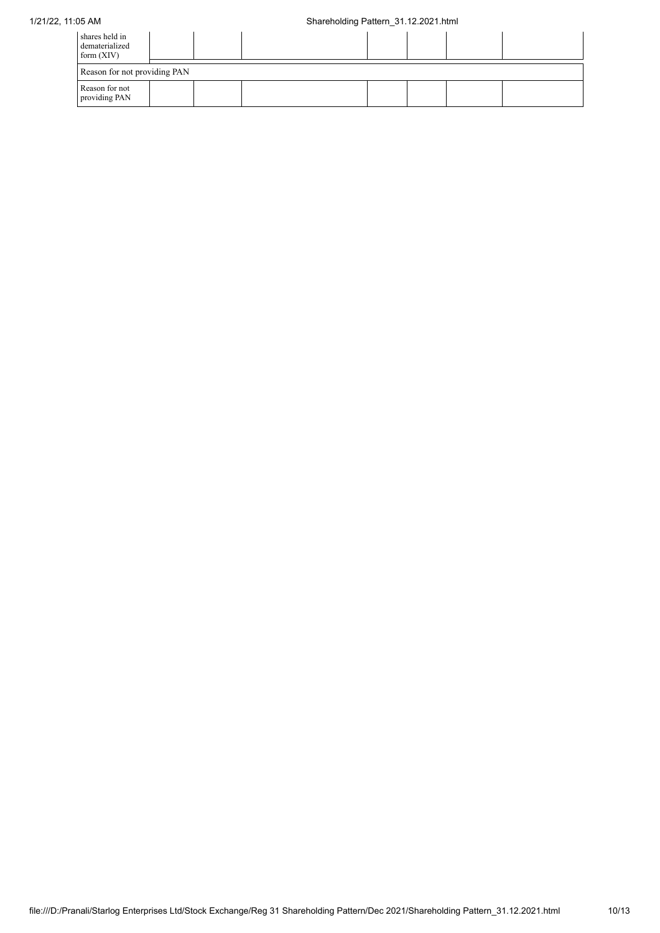| shares held in<br>dematerialized<br>form $(XIV)$ |                              |  |  |  |  |  |  |
|--------------------------------------------------|------------------------------|--|--|--|--|--|--|
|                                                  | Reason for not providing PAN |  |  |  |  |  |  |
| Reason for not<br>providing PAN                  |                              |  |  |  |  |  |  |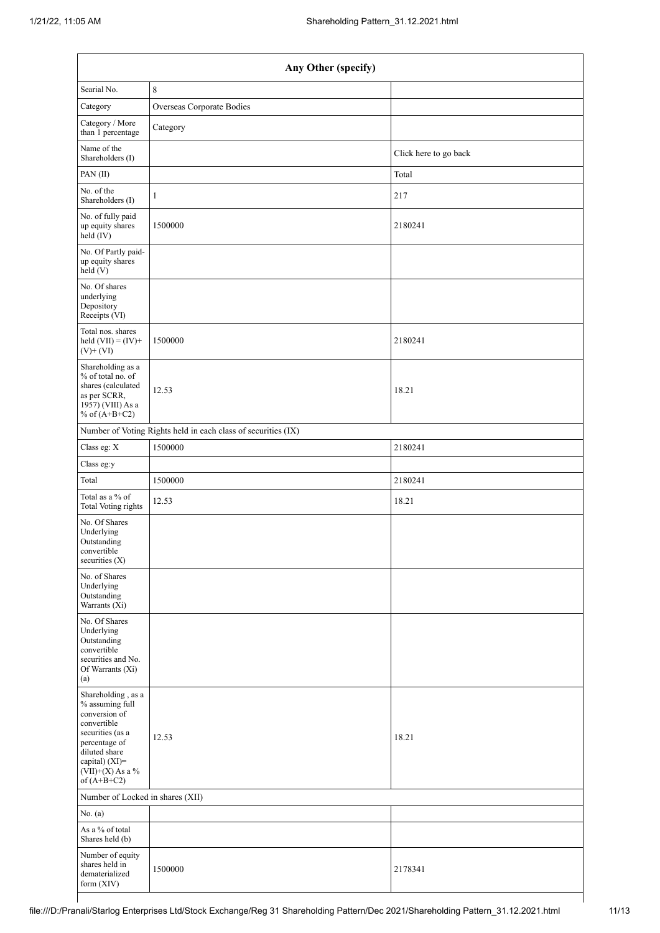| Any Other (specify)                                                                                                                                                                  |                                                               |                       |  |  |  |  |  |
|--------------------------------------------------------------------------------------------------------------------------------------------------------------------------------------|---------------------------------------------------------------|-----------------------|--|--|--|--|--|
| Searial No.                                                                                                                                                                          | 8                                                             |                       |  |  |  |  |  |
| Category                                                                                                                                                                             | Overseas Corporate Bodies                                     |                       |  |  |  |  |  |
| Category / More<br>than 1 percentage                                                                                                                                                 | Category                                                      |                       |  |  |  |  |  |
| Name of the<br>Shareholders (I)                                                                                                                                                      |                                                               | Click here to go back |  |  |  |  |  |
| PAN(II)                                                                                                                                                                              |                                                               | Total                 |  |  |  |  |  |
| No. of the<br>Shareholders (I)                                                                                                                                                       | 1                                                             | 217                   |  |  |  |  |  |
| No. of fully paid<br>up equity shares<br>held (IV)                                                                                                                                   | 1500000                                                       | 2180241               |  |  |  |  |  |
| No. Of Partly paid-<br>up equity shares<br>held(V)                                                                                                                                   |                                                               |                       |  |  |  |  |  |
| No. Of shares<br>underlying<br>Depository<br>Receipts (VI)                                                                                                                           |                                                               |                       |  |  |  |  |  |
| Total nos. shares<br>held $(VII) = (IV) +$<br>$(V)$ + $(VI)$                                                                                                                         | 1500000                                                       | 2180241               |  |  |  |  |  |
| Shareholding as a<br>% of total no. of<br>shares (calculated<br>as per SCRR,<br>1957) (VIII) As a<br>% of $(A+B+C2)$                                                                 | 12.53                                                         | 18.21                 |  |  |  |  |  |
|                                                                                                                                                                                      | Number of Voting Rights held in each class of securities (IX) |                       |  |  |  |  |  |
| Class eg: X                                                                                                                                                                          | 1500000                                                       | 2180241               |  |  |  |  |  |
| Class eg:y                                                                                                                                                                           |                                                               |                       |  |  |  |  |  |
| Total                                                                                                                                                                                | 1500000                                                       | 2180241               |  |  |  |  |  |
| Total as a % of<br><b>Total Voting rights</b>                                                                                                                                        | 12.53                                                         | 18.21                 |  |  |  |  |  |
| No. Of Shares<br>Underlying<br>Outstanding<br>convertible<br>securities (X)                                                                                                          |                                                               |                       |  |  |  |  |  |
| No. of Shares<br>Underlying<br>Outstanding<br>Warrants (Xi)                                                                                                                          |                                                               |                       |  |  |  |  |  |
| No. Of Shares<br>Underlying<br>Outstanding<br>convertible<br>securities and No.<br>Of Warrants (Xi)<br>(a)                                                                           |                                                               |                       |  |  |  |  |  |
| Shareholding, as a<br>% assuming full<br>conversion of<br>convertible<br>securities (as a<br>percentage of<br>diluted share<br>capital) (XI)=<br>$(VII)+(X)$ As a %<br>of $(A+B+C2)$ | 12.53                                                         | 18.21                 |  |  |  |  |  |
| Number of Locked in shares (XII)                                                                                                                                                     |                                                               |                       |  |  |  |  |  |
| No. (a)                                                                                                                                                                              |                                                               |                       |  |  |  |  |  |
| As a % of total<br>Shares held (b)                                                                                                                                                   |                                                               |                       |  |  |  |  |  |
| Number of equity<br>shares held in<br>dematerialized<br>form (XIV)                                                                                                                   | 1500000                                                       | 2178341               |  |  |  |  |  |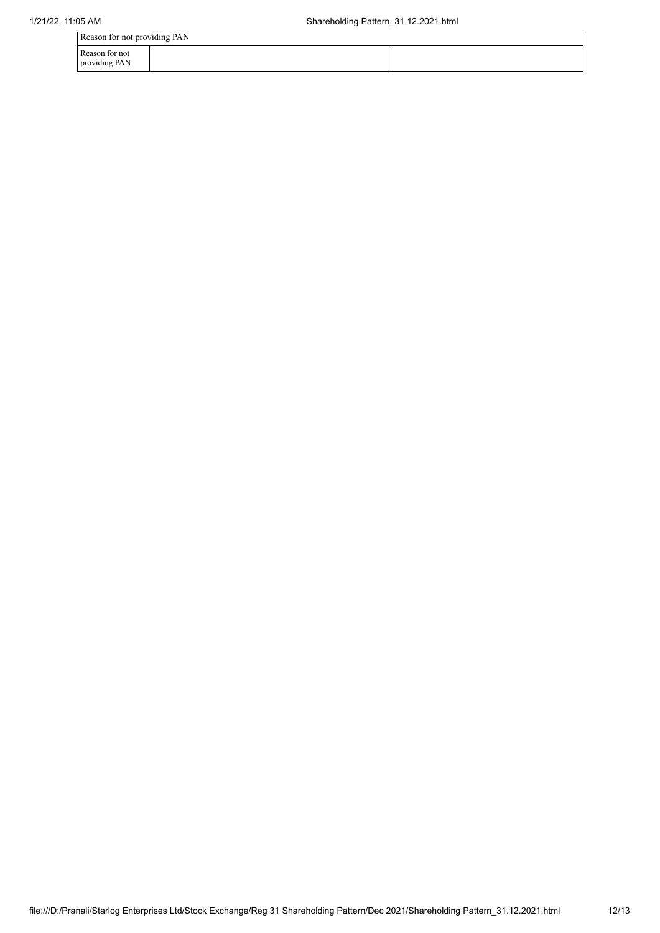Reason for not providing PAN

Reason for not providing PAN